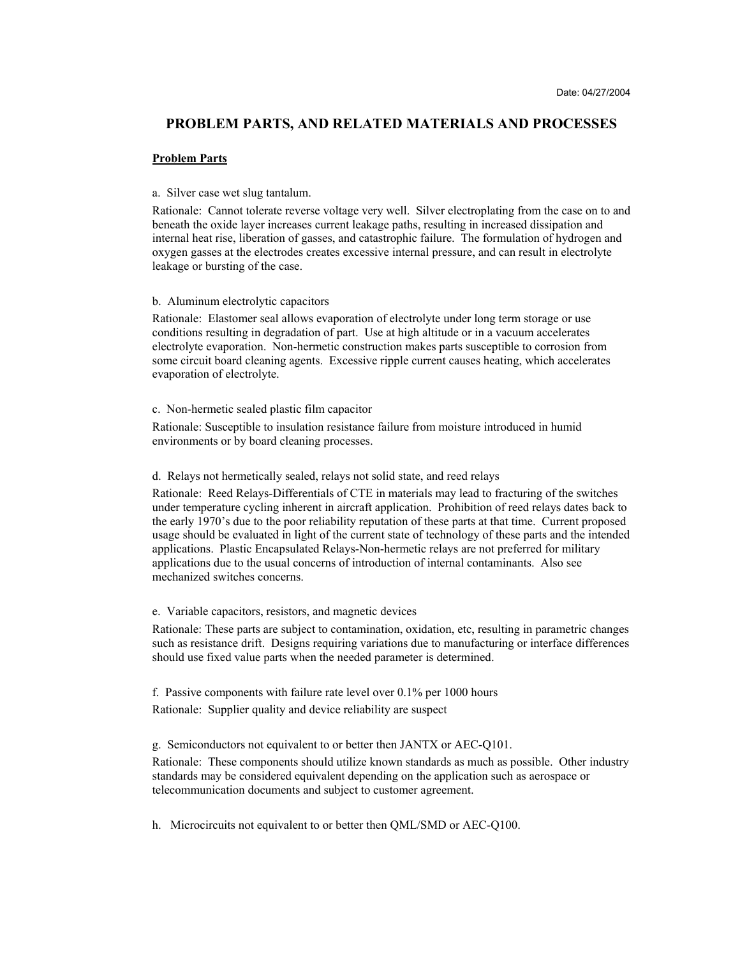# **PROBLEM PARTS, AND RELATED MATERIALS AND PROCESSES**

#### **Problem Parts**

## a. Silver case wet slug tantalum.

Rationale: Cannot tolerate reverse voltage very well. Silver electroplating from the case on to and beneath the oxide layer increases current leakage paths, resulting in increased dissipation and internal heat rise, liberation of gasses, and catastrophic failure. The formulation of hydrogen and oxygen gasses at the electrodes creates excessive internal pressure, and can result in electrolyte leakage or bursting of the case.

#### b. Aluminum electrolytic capacitors

Rationale: Elastomer seal allows evaporation of electrolyte under long term storage or use conditions resulting in degradation of part. Use at high altitude or in a vacuum accelerates electrolyte evaporation. Non-hermetic construction makes parts susceptible to corrosion from some circuit board cleaning agents. Excessive ripple current causes heating, which accelerates evaporation of electrolyte.

## c. Non-hermetic sealed plastic film capacitor

Rationale: Susceptible to insulation resistance failure from moisture introduced in humid environments or by board cleaning processes.

#### d. Relays not hermetically sealed, relays not solid state, and reed relays

Rationale: Reed Relays-Differentials of CTE in materials may lead to fracturing of the switches under temperature cycling inherent in aircraft application. Prohibition of reed relays dates back to the early 1970's due to the poor reliability reputation of these parts at that time. Current proposed usage should be evaluated in light of the current state of technology of these parts and the intended applications. Plastic Encapsulated Relays-Non-hermetic relays are not preferred for military applications due to the usual concerns of introduction of internal contaminants. Also see mechanized switches concerns.

## e. Variable capacitors, resistors, and magnetic devices

Rationale: These parts are subject to contamination, oxidation, etc, resulting in parametric changes such as resistance drift. Designs requiring variations due to manufacturing or interface differences should use fixed value parts when the needed parameter is determined.

f. Passive components with failure rate level over 0.1% per 1000 hours Rationale: Supplier quality and device reliability are suspect

g. Semiconductors not equivalent to or better then JANTX or AEC-Q101.

Rationale: These components should utilize known standards as much as possible. Other industry standards may be considered equivalent depending on the application such as aerospace or telecommunication documents and subject to customer agreement.

h. Microcircuits not equivalent to or better then QML/SMD or AEC-Q100.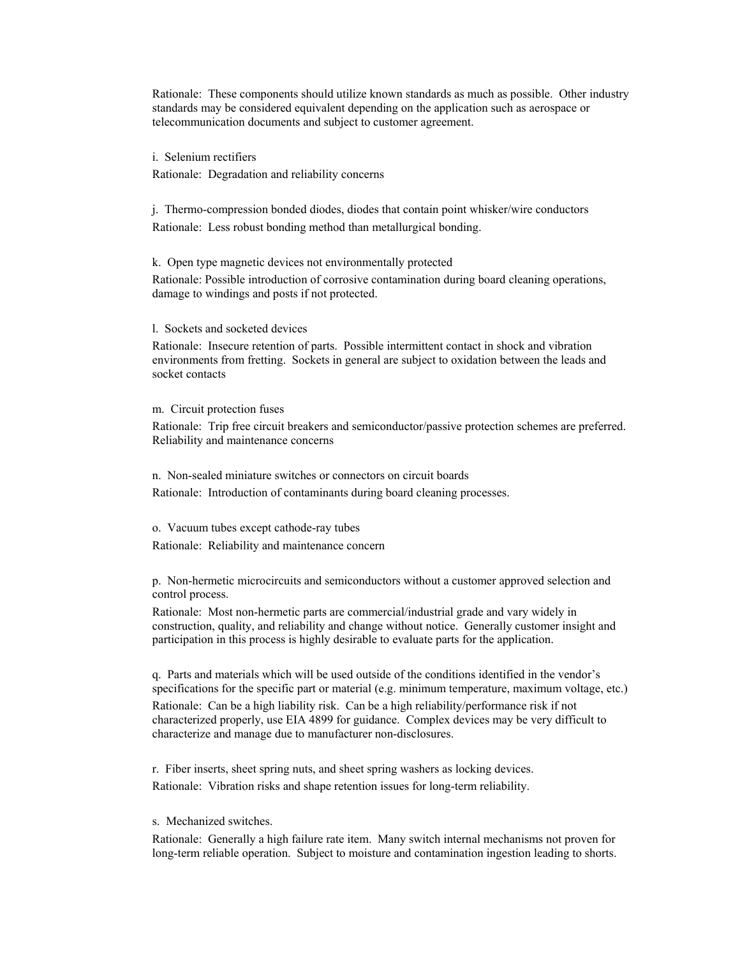Rationale: These components should utilize known standards as much as possible. Other industry standards may be considered equivalent depending on the application such as aerospace or telecommunication documents and subject to customer agreement.

i. Selenium rectifiers Rationale: Degradation and reliability concerns

j. Thermo-compression bonded diodes, diodes that contain point whisker/wire conductors Rationale: Less robust bonding method than metallurgical bonding.

k. Open type magnetic devices not environmentally protected

Rationale: Possible introduction of corrosive contamination during board cleaning operations, damage to windings and posts if not protected.

l. Sockets and socketed devices

Rationale: Insecure retention of parts. Possible intermittent contact in shock and vibration environments from fretting. Sockets in general are subject to oxidation between the leads and socket contacts

m. Circuit protection fuses

Rationale: Trip free circuit breakers and semiconductor/passive protection schemes are preferred. Reliability and maintenance concerns

n. Non-sealed miniature switches or connectors on circuit boards Rationale: Introduction of contaminants during board cleaning processes.

o. Vacuum tubes except cathode-ray tubes Rationale: Reliability and maintenance concern

p. Non-hermetic microcircuits and semiconductors without a customer approved selection and control process.

Rationale: Most non-hermetic parts are commercial/industrial grade and vary widely in construction, quality, and reliability and change without notice. Generally customer insight and participation in this process is highly desirable to evaluate parts for the application.

q. Parts and materials which will be used outside of the conditions identified in the vendor's specifications for the specific part or material (e.g. minimum temperature, maximum voltage, etc.) Rationale: Can be a high liability risk. Can be a high reliability/performance risk if not

characterized properly, use EIA 4899 for guidance. Complex devices may be very difficult to characterize and manage due to manufacturer non-disclosures.

r. Fiber inserts, sheet spring nuts, and sheet spring washers as locking devices. Rationale: Vibration risks and shape retention issues for long-term reliability.

s. Mechanized switches.

Rationale: Generally a high failure rate item. Many switch internal mechanisms not proven for long-term reliable operation. Subject to moisture and contamination ingestion leading to shorts.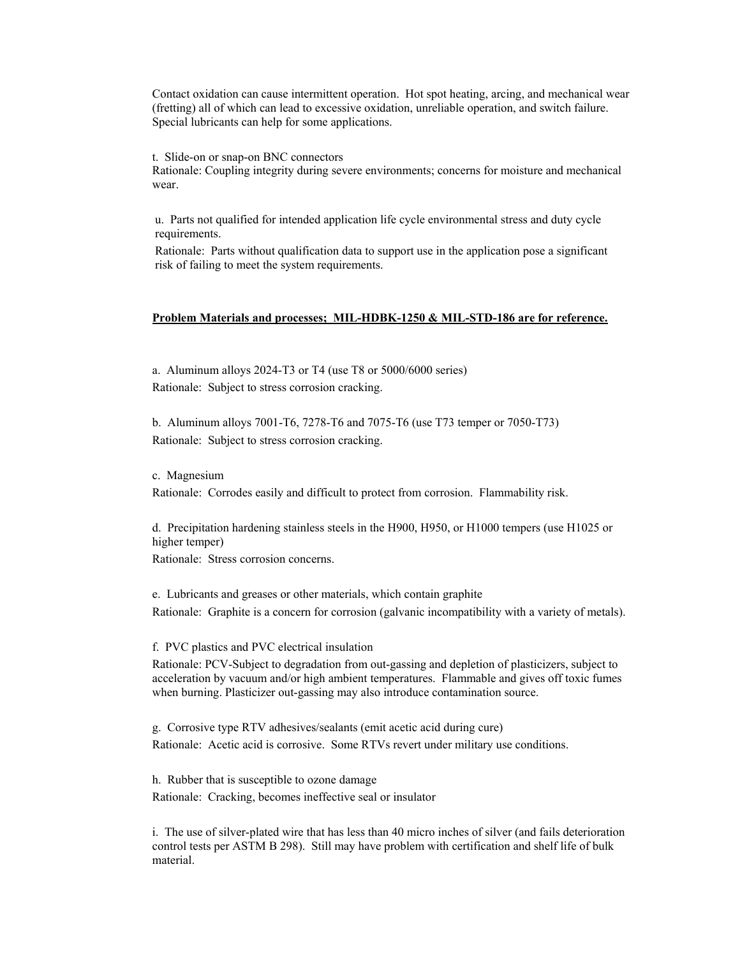Contact oxidation can cause intermittent operation. Hot spot heating, arcing, and mechanical wear (fretting) all of which can lead to excessive oxidation, unreliable operation, and switch failure. Special lubricants can help for some applications.

t. Slide-on or snap-on BNC connectors

Rationale: Coupling integrity during severe environments; concerns for moisture and mechanical wear.

u. Parts not qualified for intended application life cycle environmental stress and duty cycle requirements.

Rationale: Parts without qualification data to support use in the application pose a significant risk of failing to meet the system requirements.

# **Problem Materials and processes; MIL-HDBK-1250 & MIL-STD-186 are for reference.**

a. Aluminum alloys 2024-T3 or T4 (use T8 or 5000/6000 series) Rationale: Subject to stress corrosion cracking.

b. Aluminum alloys 7001-T6, 7278-T6 and 7075-T6 (use T73 temper or 7050-T73) Rationale: Subject to stress corrosion cracking.

c. Magnesium Rationale: Corrodes easily and difficult to protect from corrosion. Flammability risk.

d. Precipitation hardening stainless steels in the H900, H950, or H1000 tempers (use H1025 or higher temper)

Rationale: Stress corrosion concerns.

e. Lubricants and greases or other materials, which contain graphite Rationale: Graphite is a concern for corrosion (galvanic incompatibility with a variety of metals).

f. PVC plastics and PVC electrical insulation

Rationale: PCV-Subject to degradation from out-gassing and depletion of plasticizers, subject to acceleration by vacuum and/or high ambient temperatures. Flammable and gives off toxic fumes when burning. Plasticizer out-gassing may also introduce contamination source.

g. Corrosive type RTV adhesives/sealants (emit acetic acid during cure) Rationale: Acetic acid is corrosive. Some RTVs revert under military use conditions.

h. Rubber that is susceptible to ozone damage Rationale: Cracking, becomes ineffective seal or insulator

i. The use of silver-plated wire that has less than 40 micro inches of silver (and fails deterioration control tests per ASTM B 298). Still may have problem with certification and shelf life of bulk material.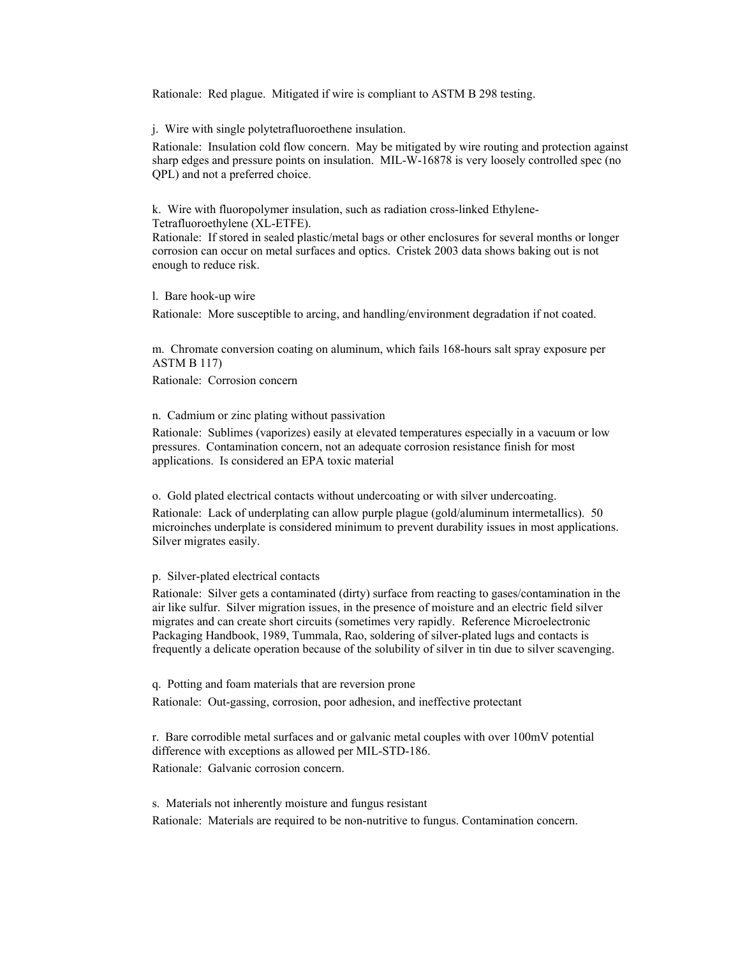Rationale: Red plague. Mitigated if wire is compliant to ASTM B 298 testing.

j. Wire with single polytetrafluoroethene insulation.

Rationale: Insulation cold flow concern. May be mitigated by wire routing and protection against sharp edges and pressure points on insulation. MIL-W-16878 is very loosely controlled spec (no QPL) and not a preferred choice.

k. Wire with fluoropolymer insulation, such as radiation cross-linked Ethylene-Tetrafluoroethylene (XL-ETFE).

Rationale: If stored in sealed plastic/metal bags or other enclosures for several months or longer corrosion can occur on metal surfaces and optics. Cristek 2003 data shows baking out is not enough to reduce risk.

l. Bare hook-up wire

Rationale: More susceptible to arcing, and handling/environment degradation if not coated.

m. Chromate conversion coating on aluminum, which fails 168-hours salt spray exposure per ASTM B 117)

Rationale: Corrosion concern

n. Cadmium or zinc plating without passivation

Rationale: Sublimes (vaporizes) easily at elevated temperatures especially in a vacuum or low pressures. Contamination concern, not an adequate corrosion resistance finish for most applications. Is considered an EPA toxic material

o. Gold plated electrical contacts without undercoating or with silver undercoating.

Rationale: Lack of underplating can allow purple plague (gold/aluminum intermetallics). 50 microinches underplate is considered minimum to prevent durability issues in most applications. Silver migrates easily.

## p. Silver-plated electrical contacts

Rationale: Silver gets a contaminated (dirty) surface from reacting to gases/contamination in the air like sulfur. Silver migration issues, in the presence of moisture and an electric field silver migrates and can create short circuits (sometimes very rapidly. Reference Microelectronic Packaging Handbook, 1989, Tummala, Rao, soldering of silver-plated lugs and contacts is frequently a delicate operation because of the solubility of silver in tin due to silver scavenging.

q. Potting and foam materials that are reversion prone

Rationale: Out-gassing, corrosion, poor adhesion, and ineffective protectant

r. Bare corrodible metal surfaces and or galvanic metal couples with over 100mV potential difference with exceptions as allowed per MIL-STD-186. Rationale: Galvanic corrosion concern.

s. Materials not inherently moisture and fungus resistant

Rationale: Materials are required to be non-nutritive to fungus. Contamination concern.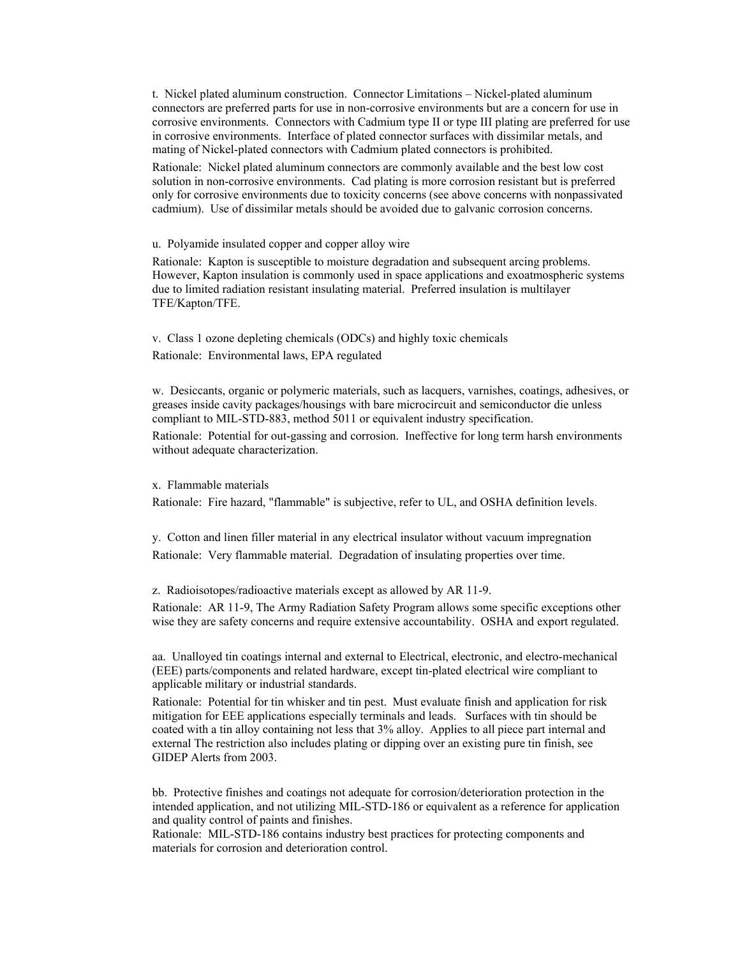t. Nickel plated aluminum construction. Connector Limitations – Nickel-plated aluminum connectors are preferred parts for use in non-corrosive environments but are a concern for use in corrosive environments. Connectors with Cadmium type II or type III plating are preferred for use in corrosive environments. Interface of plated connector surfaces with dissimilar metals, and mating of Nickel-plated connectors with Cadmium plated connectors is prohibited.

Rationale: Nickel plated aluminum connectors are commonly available and the best low cost solution in non-corrosive environments. Cad plating is more corrosion resistant but is preferred only for corrosive environments due to toxicity concerns (see above concerns with nonpassivated cadmium). Use of dissimilar metals should be avoided due to galvanic corrosion concerns.

u. Polyamide insulated copper and copper alloy wire

Rationale: Kapton is susceptible to moisture degradation and subsequent arcing problems. However, Kapton insulation is commonly used in space applications and exoatmospheric systems due to limited radiation resistant insulating material. Preferred insulation is multilayer TFE/Kapton/TFE.

v. Class 1 ozone depleting chemicals (ODCs) and highly toxic chemicals Rationale: Environmental laws, EPA regulated

w. Desiccants, organic or polymeric materials, such as lacquers, varnishes, coatings, adhesives, or greases inside cavity packages/housings with bare microcircuit and semiconductor die unless compliant to MIL-STD-883, method 5011 or equivalent industry specification.

Rationale: Potential for out-gassing and corrosion. Ineffective for long term harsh environments without adequate characterization.

x. Flammable materials

Rationale: Fire hazard, "flammable" is subjective, refer to UL, and OSHA definition levels.

y. Cotton and linen filler material in any electrical insulator without vacuum impregnation Rationale: Very flammable material. Degradation of insulating properties over time.

z. Radioisotopes/radioactive materials except as allowed by AR 11-9.

Rationale: AR 11-9, The Army Radiation Safety Program allows some specific exceptions other wise they are safety concerns and require extensive accountability. OSHA and export regulated.

aa. Unalloyed tin coatings internal and external to Electrical, electronic, and electro-mechanical (EEE) parts/components and related hardware, except tin-plated electrical wire compliant to applicable military or industrial standards.

Rationale: Potential for tin whisker and tin pest. Must evaluate finish and application for risk mitigation for EEE applications especially terminals and leads. Surfaces with tin should be coated with a tin alloy containing not less that 3% alloy. Applies to all piece part internal and external The restriction also includes plating or dipping over an existing pure tin finish, see GIDEP Alerts from 2003.

bb. Protective finishes and coatings not adequate for corrosion/deterioration protection in the intended application, and not utilizing MIL-STD-186 or equivalent as a reference for application and quality control of paints and finishes.

Rationale: MIL-STD-186 contains industry best practices for protecting components and materials for corrosion and deterioration control.